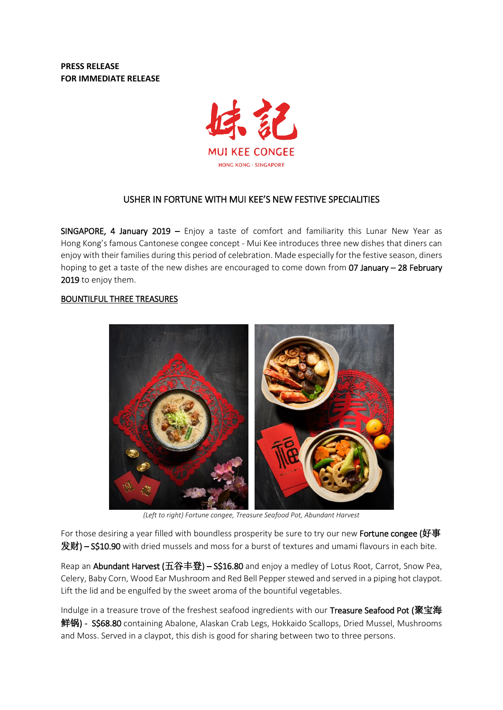**PRESS RELEASE FOR IMMEDIATE RELEASE**



# USHER IN FORTUNE WITH MUI KEE'S NEW FESTIVE SPECIALITIES

SINGAPORE, 4 January 2019 – Enjoy a taste of comfort and familiarity this Lunar New Year as Hong Kong's famous Cantonese congee concept - Mui Kee introduces three new dishes that diners can enjoy with their families during this period of celebration. Made especially for the festive season, diners hoping to get a taste of the new dishes are encouraged to come down from 07 January - 28 February 2019 to enjoy them.

# BOUNTILFUL THREE TREASURES



*(Left to right) Fortune congee, Treasure Seafood Pot, Abundant Harvest*

For those desiring a year filled with boundless prosperity be sure to try our new Fortune congee (好事  $\mathbf{\mathcal{R}}$ 财) – S\$10.90 with dried mussels and moss for a burst of textures and umami flavours in each bite.

Reap an Abundant Harvest (五谷丰登) – S\$16.80 and enjoy a medley of Lotus Root, Carrot, Snow Pea, Celery, Baby Corn, Wood Ear Mushroom and Red Bell Pepperstewed and served in a piping hot claypot. Lift the lid and be engulfed by the sweet aroma of the bountiful vegetables.

Indulge in a treasure trove of the freshest seafood ingredients with our Treasure Seafood Pot (聚宝海 鲜锅) - S\$68.80 containing Abalone, Alaskan Crab Legs, Hokkaido Scallops, Dried Mussel, Mushrooms and Moss. Served in a claypot, this dish is good for sharing between two to three persons.